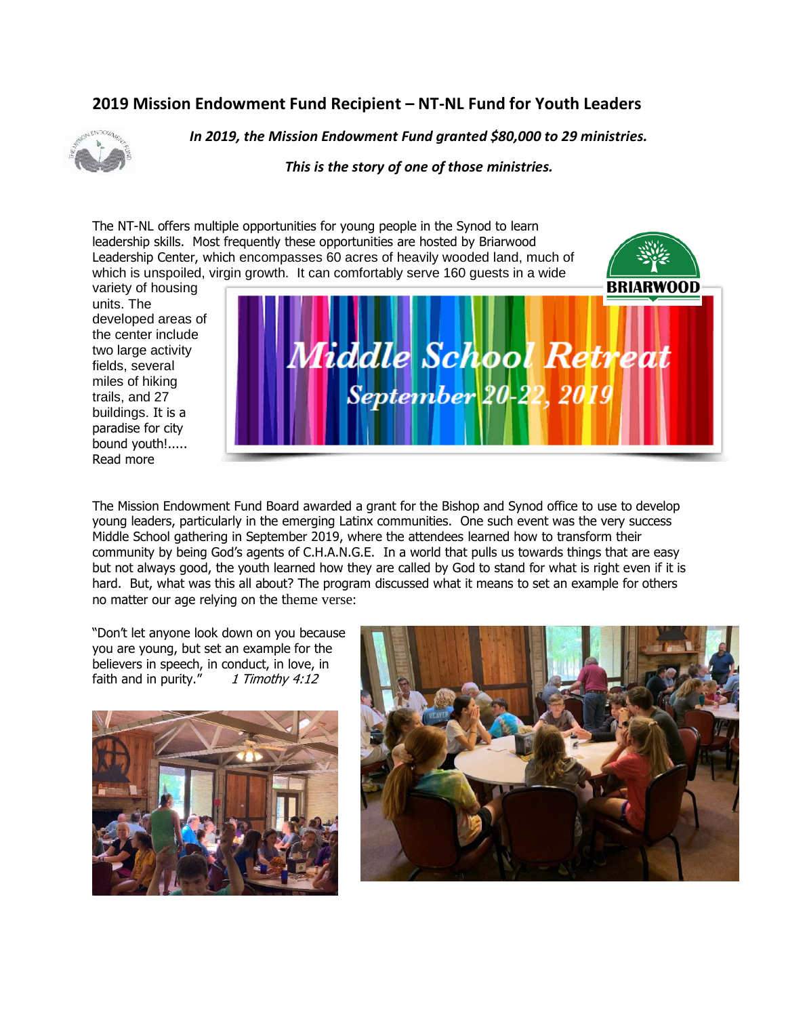## **2019 Mission Endowment Fund Recipient – NT-NL Fund for Youth Leaders**



*In 2019, the Mission Endowment Fund granted \$80,000 to 29 ministries.*

*This is the story of one of those ministries.*

The NT-NL offers multiple opportunities for young people in the Synod to learn leadership skills. Most frequently these opportunities are hosted by Briarwood Leadership Center, which encompasses 60 acres of heavily wooded land, much of which is unspoiled, virgin growth. It can comfortably serve 160 guests in a wide

variety of housing units. The developed areas of the center include two large activity fields, several miles of hiking trails, and 27 buildings. It is a paradise for city bound youth!..... Read more



The Mission Endowment Fund Board awarded a grant for the Bishop and Synod office to use to develop young leaders, particularly in the emerging Latinx communities. One such event was the very success Middle School gathering in September 2019, where the attendees learned how to transform their community by being God's agents of C.H.A.N.G.E. In a world that pulls us towards things that are easy but not always good, the youth learned how they are called by God to stand for what is right even if it is hard. But, what was this all about? The program discussed what it means to set an example for others no matter our age relying on the theme verse:

"Don't let anyone look down on you because you are young, but set an example for the believers in speech, in conduct, in love, in faith and in purity."  $1$  Timothy 4:12